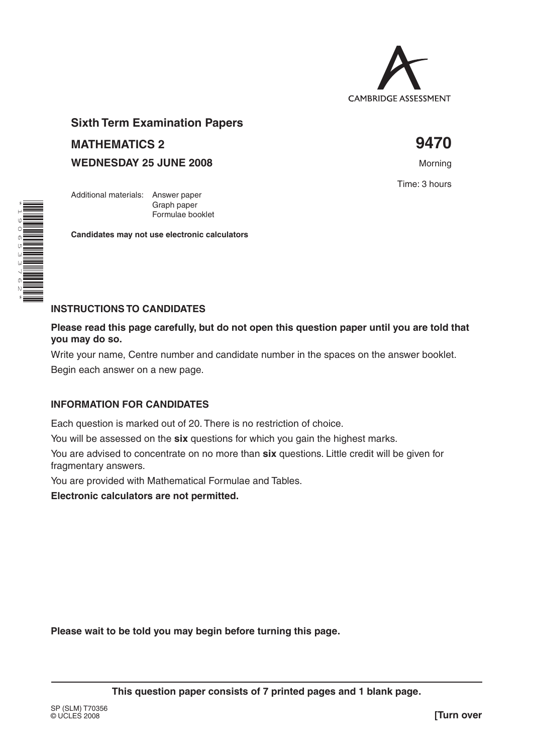

# **Sixth Term Examination Papers MATHEMATICS 2 9470**

Graph paper Formulae booklet

**Candidates may not use electronic calculators**

**WEDNESDAY 25 JUNE 2008** Morning

Additional materials: Answer paper

Time: 3 hours



# **INSTRUCTIONS TO CANDIDATES**

**Please read this page carefully, but do not open this question paper until you are told that you may do so.**

Write your name, Centre number and candidate number in the spaces on the answer booklet.

Begin each answer on a new page.

### **INFORMATION FOR CANDIDATES**

Each question is marked out of 20. There is no restriction of choice.

You will be assessed on the **six** questions for which you gain the highest marks.

You are advised to concentrate on no more than **six** questions. Little credit will be given for fragmentary answers.

You are provided with Mathematical Formulae and Tables.

**Electronic calculators are not permitted.**

**Please wait to be told you may begin before turning this page.**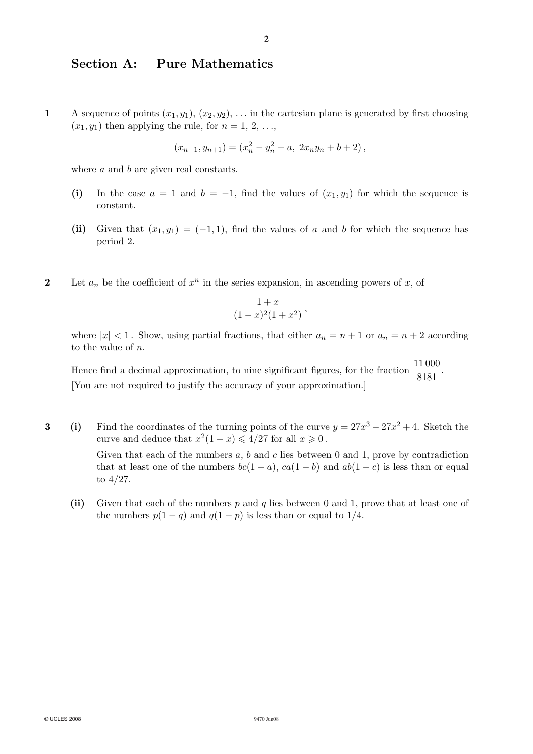# Section A: Pure Mathematics

1 A sequence of points  $(x_1, y_1), (x_2, y_2), \ldots$  in the cartesian plane is generated by first choosing  $(x_1, y_1)$  then applying the rule, for  $n = 1, 2, \ldots$ ,

$$
(x_{n+1}, y_{n+1}) = (x_n^2 - y_n^2 + a, \ 2x_ny_n + b + 2),
$$

where a and b are given real constants.

- (i) In the case  $a = 1$  and  $b = -1$ , find the values of  $(x_1, y_1)$  for which the sequence is constant.
- (ii) Given that  $(x_1, y_1) = (-1, 1)$ , find the values of a and b for which the sequence has period 2.
- 2 Let  $a_n$  be the coefficient of  $x^n$  in the series expansion, in ascending powers of x, of

$$
\frac{1+x}{(1-x)^2(1+x^2)},
$$

where  $|x| < 1$ . Show, using partial fractions, that either  $a_n = n + 1$  or  $a_n = n + 2$  according to the value of  $n$ .

Hence find a decimal approximation, to nine significant figures, for the fraction  $\frac{11\,000}{8181}$ . [You are not required to justify the accuracy of your approximation.]

3 (i) Find the coordinates of the turning points of the curve  $y = 27x^3 - 27x^2 + 4$ . Sketch the curve and deduce that  $x^2(1-x) \leq 4/27$  for all  $x \geq 0$ .

> Given that each of the numbers  $a, b$  and  $c$  lies between 0 and 1, prove by contradiction that at least one of the numbers  $bc(1 - a)$ ,  $ca(1 - b)$  and  $ab(1 - c)$  is less than or equal to 4/27.

(ii) Given that each of the numbers  $p$  and  $q$  lies between 0 and 1, prove that at least one of the numbers  $p(1 - q)$  and  $q(1 - p)$  is less than or equal to 1/4.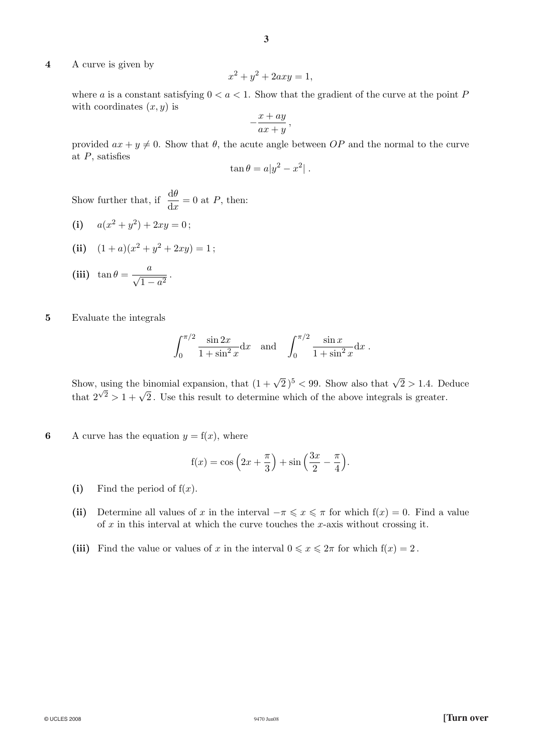4 A curve is given by

$$
x^2 + y^2 + 2axy = 1,
$$

**3**

where a is a constant satisfying  $0 < a < 1$ . Show that the gradient of the curve at the point P with coordinates  $(x, y)$  is

$$
-\frac{x+ay}{ax+y},
$$

provided  $ax + y \neq 0$ . Show that  $\theta$ , the acute angle between OP and the normal to the curve at  $P$ , satisfies

$$
\tan \theta = a|y^2 - x^2|.
$$

Show further that, if  $\frac{d\theta}{dx} = 0$  at P, then:

(i)  $a(x^2 + y^2) + 2xy = 0$ ;

(ii) 
$$
(1+a)(x^2+y^2+2xy)=1;
$$

$$
\textbf{(iii)}\ \ \tan\theta = \frac{a}{\sqrt{1-a^2}}\,.
$$

5 Evaluate the integrals

$$
\int_0^{\pi/2} \frac{\sin 2x}{1 + \sin^2 x} dx \text{ and } \int_0^{\pi/2} \frac{\sin x}{1 + \sin^2 x} dx.
$$

Show, using the binomial expansion, that  $(1 + \sqrt{2})^5 < 99$ . Show also that  $\sqrt{2} > 1.4$ . Deduce that  $2^{\sqrt{2}} > 1 + \sqrt{2}$ . Use this result to determine which of the above integrals is greater.

6 A curve has the equation  $y = f(x)$ , where

$$
f(x) = \cos\left(2x + \frac{\pi}{3}\right) + \sin\left(\frac{3x}{2} - \frac{\pi}{4}\right).
$$

- (i) Find the period of  $f(x)$ .
- (ii) Determine all values of x in the interval  $-\pi \leqslant x \leqslant \pi$  for which  $f(x) = 0$ . Find a value of  $x$  in this interval at which the curve touches the  $x$ -axis without crossing it.
- (iii) Find the value or values of x in the interval  $0 \le x \le 2\pi$  for which  $f(x) = 2$ .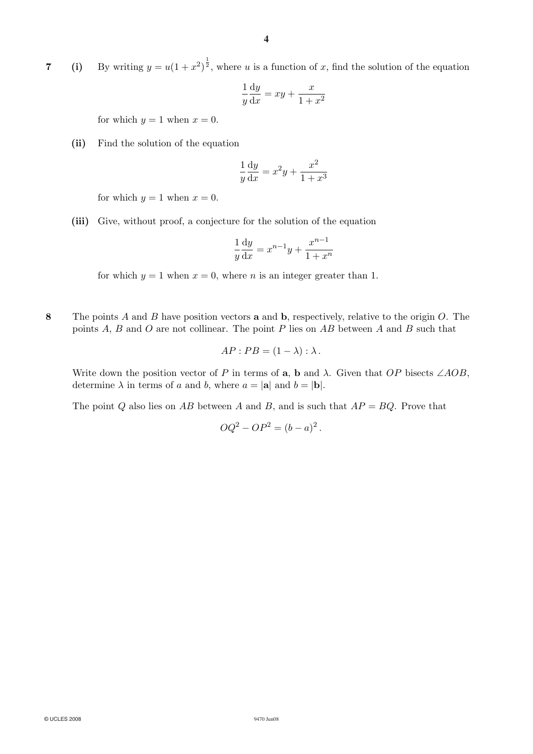**7** (i) By writing  $y = u(1 + x^2)^{\frac{1}{2}}$ , where u is a function of x, find the solution of the equation

$$
\frac{1}{y}\frac{\mathrm{d}y}{\mathrm{d}x} = xy + \frac{x}{1+x^2}
$$

for which  $y = 1$  when  $x = 0$ .

(ii) Find the solution of the equation

$$
\frac{1}{y}\frac{\mathrm{d}y}{\mathrm{d}x} = x^2y + \frac{x^2}{1+x^3}
$$

for which  $y = 1$  when  $x = 0$ .

(iii) Give, without proof, a conjecture for the solution of the equation

$$
\frac{1}{y}\frac{\mathrm{d}y}{\mathrm{d}x} = x^{n-1}y + \frac{x^{n-1}}{1+x^n}
$$

for which  $y = 1$  when  $x = 0$ , where *n* is an integer greater than 1.

8 The points A and B have position vectors **a** and **b**, respectively, relative to the origin  $O$ . The points  $A, B$  and  $O$  are not collinear. The point  $P$  lies on  $AB$  between  $A$  and  $B$  such that

$$
AP : PB = (1 - \lambda) : \lambda.
$$

Write down the position vector of P in terms of a, b and  $\lambda$ . Given that OP bisects ∠AOB, determine  $\lambda$  in terms of a and b, where  $a = |\mathbf{a}|$  and  $b = |\mathbf{b}|$ .

The point Q also lies on AB between A and B, and is such that  $AP = BQ$ . Prove that

$$
OQ^2 - OP^2 = (b-a)^2.
$$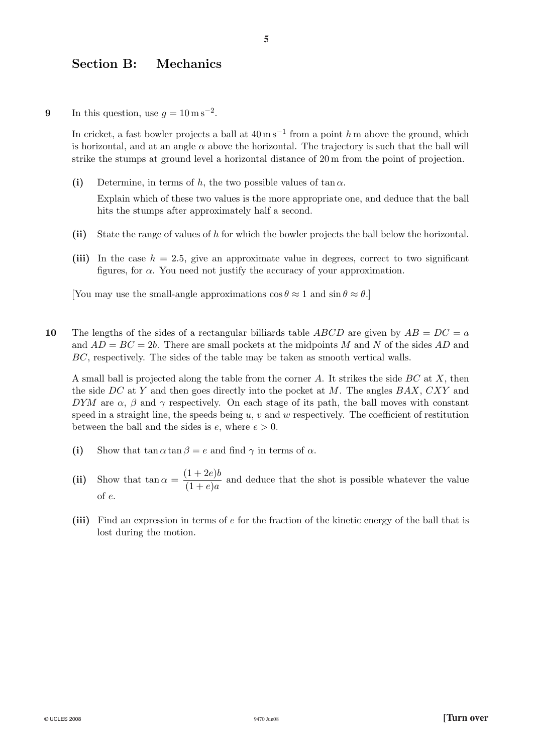#### Section B: Mechanics

9 In this question, use  $q = 10 \,\mathrm{m\,s^{-2}}$ .

In cricket, a fast bowler projects a ball at  $40 \,\mathrm{m\,s^{-1}}$  from a point h m above the ground, which is horizontal, and at an angle  $\alpha$  above the horizontal. The trajectory is such that the ball will strike the stumps at ground level a horizontal distance of 20 m from the point of projection.

(i) Determine, in terms of h, the two possible values of tan  $\alpha$ .

Explain which of these two values is the more appropriate one, and deduce that the ball hits the stumps after approximately half a second.

- (ii) State the range of values of h for which the bowler projects the ball below the horizontal.
- (iii) In the case  $h = 2.5$ , give an approximate value in degrees, correct to two significant figures, for  $\alpha$ . You need not justify the accuracy of your approximation.

[You may use the small-angle approximations  $\cos \theta \approx 1$  and  $\sin \theta \approx \theta$ .]

10 The lengths of the sides of a rectangular billiards table ABCD are given by  $AB = DC = a$ and  $AD = BC = 2b$ . There are small pockets at the midpoints M and N of the sides AD and BC, respectively. The sides of the table may be taken as smooth vertical walls.

A small ball is projected along the table from the corner A. It strikes the side  $BC$  at X, then the side DC at Y and then goes directly into the pocket at M. The angles  $BAX$ ,  $CXY$  and DYM are  $\alpha$ ,  $\beta$  and  $\gamma$  respectively. On each stage of its path, the ball moves with constant speed in a straight line, the speeds being  $u, v$  and  $w$  respectively. The coefficient of restitution between the ball and the sides is  $e$ , where  $e > 0$ .

- (i) Show that  $\tan \alpha \tan \beta = e$  and find  $\gamma$  in terms of  $\alpha$ .
- (ii) Show that  $\tan \alpha = \frac{(1+2e)b}{(1+e)a}$  and deduce that the shot is possible whatever the value of e.
- (iii) Find an expression in terms of e for the fraction of the kinetic energy of the ball that is lost during the motion.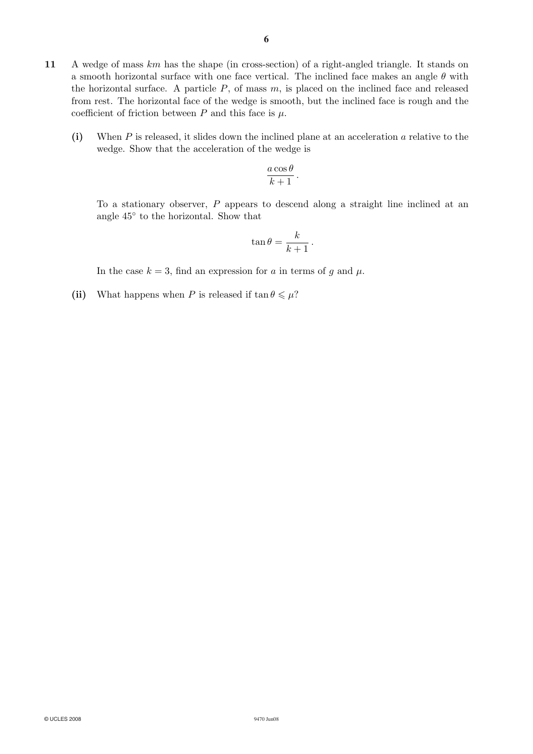- 11 A wedge of mass km has the shape (in cross-section) of a right-angled triangle. It stands on a smooth horizontal surface with one face vertical. The inclined face makes an angle  $\theta$  with the horizontal surface. A particle  $P$ , of mass  $m$ , is placed on the inclined face and released from rest. The horizontal face of the wedge is smooth, but the inclined face is rough and the coefficient of friction between  $P$  and this face is  $\mu$ .
	- (i) When  $P$  is released, it slides down the inclined plane at an acceleration  $\alpha$  relative to the wedge. Show that the acceleration of the wedge is

$$
\frac{a\cos\theta}{k+1}.
$$

To a stationary observer, P appears to descend along a straight line inclined at an angle 45◦ to the horizontal. Show that

$$
\tan \theta = \frac{k}{k+1} \, .
$$

In the case  $k = 3$ , find an expression for a in terms of g and  $\mu$ .

(ii) What happens when P is released if  $\tan \theta \le \mu$ ?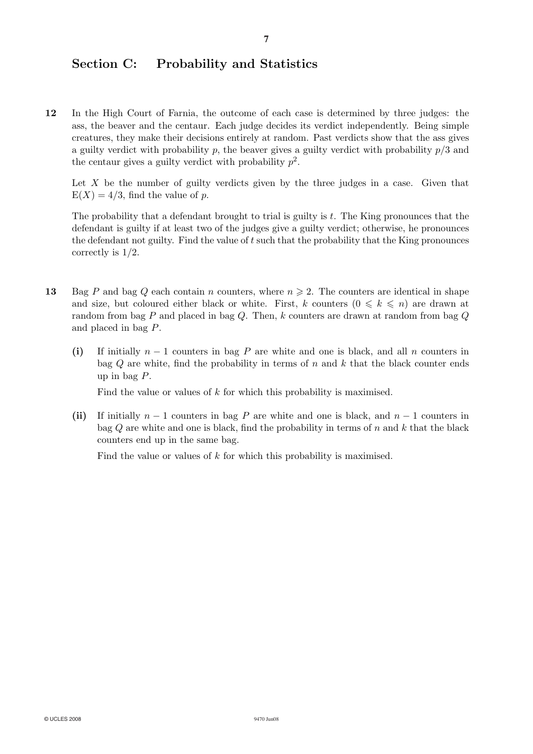# Section C: Probability and Statistics

12 In the High Court of Farnia, the outcome of each case is determined by three judges: the ass, the beaver and the centaur. Each judge decides its verdict independently. Being simple creatures, they make their decisions entirely at random. Past verdicts show that the ass gives a guilty verdict with probability p, the beaver gives a guilty verdict with probability  $p/3$  and the centaur gives a guilty verdict with probability  $p^2$ .

Let  $X$  be the number of guilty verdicts given by the three judges in a case. Given that  $E(X)=4/3$ , find the value of p.

The probability that a defendant brought to trial is guilty is  $t$ . The King pronounces that the defendant is guilty if at least two of the judges give a guilty verdict; otherwise, he pronounces the defendant not guilty. Find the value of t such that the probability that the King pronounces correctly is 1/2.

- 13 Bag P and bag Q each contain n counters, where  $n \geqslant 2$ . The counters are identical in shape and size, but coloured either black or white. First, k counters  $(0 \leq k \leq n)$  are drawn at random from bag P and placed in bag Q. Then, k counters are drawn at random from bag Q and placed in bag P.
	- (i) If initially  $n-1$  counters in bag P are white and one is black, and all n counters in bag  $Q$  are white, find the probability in terms of n and k that the black counter ends up in bag P.

Find the value or values of k for which this probability is maximised.

(ii) If initially  $n - 1$  counters in bag P are white and one is black, and  $n - 1$  counters in bag  $Q$  are white and one is black, find the probability in terms of n and  $k$  that the black counters end up in the same bag.

Find the value or values of k for which this probability is maximised.